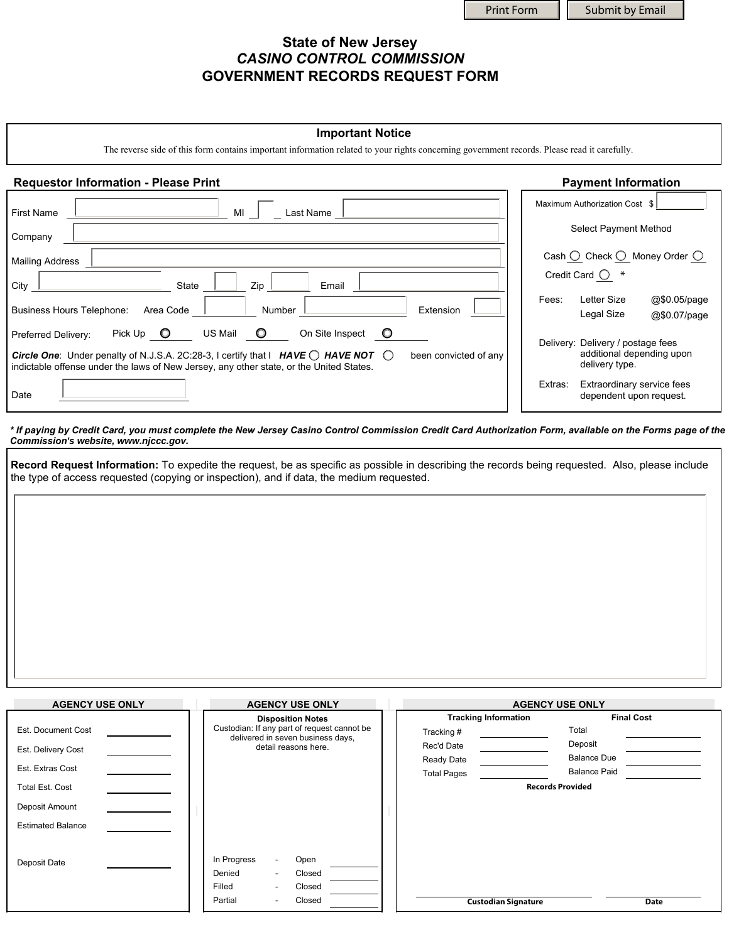Print Form | | Submit by Email

## **State of New Jersey**  *CASINO CONTROL COMMISSION*  **GOVERNMENT RECORDS REQUEST FORM**

## **Important Notice**

The reverse side of this form contains important information related to your rights concerning government records. Please read it carefully.

## **Requestor Information - Please Print Payment Information**

| MI<br><b>First Name</b><br>Last Name                                                                                                                                                                                                                                                                                     | Maximum Authorization Cost \$                                                    |
|--------------------------------------------------------------------------------------------------------------------------------------------------------------------------------------------------------------------------------------------------------------------------------------------------------------------------|----------------------------------------------------------------------------------|
| Company                                                                                                                                                                                                                                                                                                                  | Select Payment Method                                                            |
| <b>Mailing Address</b>                                                                                                                                                                                                                                                                                                   | Cash $\bigcirc$ Check $\bigcirc$ Money Order $\bigcirc$                          |
| Zip<br>City<br>Email<br>State                                                                                                                                                                                                                                                                                            | Credit Card $\bigcirc$                                                           |
| Number<br>Extension<br><b>Business Hours Telephone:</b><br>Area Code                                                                                                                                                                                                                                                     | Letter Size<br>@\$0.05/page<br>Fees:<br>Legal Size<br>@\$0.07/page               |
| US Mail<br>O<br>On Site Inspect<br>$\circ$<br>Pick $Up$ $Q$<br>Preferred Delivery:<br><b>Circle One:</b> Under penalty of N.J.S.A. 2C:28-3, I certify that $\vert$ <b>HAVE O HAVE NOT</b> $\bigcirc$<br>been convicted of any<br>indictable offense under the laws of New Jersey, any other state, or the United States. | Delivery: Delivery / postage fees<br>additional depending upon<br>delivery type. |
| Date                                                                                                                                                                                                                                                                                                                     | Extras:<br>Extraordinary service fees<br>dependent upon request.                 |

*\* If paying by Credit Card, you must complete the New Jersey Casino Control Commission Credit Card Authorization Form, available on the Forms page of the Commission's website, www.njccc.gov.*

**Record Request Information:** To expedite the request, be as specific as possible in describing the records being requested. Also, please include the type of access requested (copying or inspection), and if data, the medium requested.

| <b>AGENCY USE ONLY</b>   | <b>AGENCY USE ONLY</b>                                                           | <b>AGENCY USE ONLY</b>      |                     |
|--------------------------|----------------------------------------------------------------------------------|-----------------------------|---------------------|
|                          | <b>Disposition Notes</b>                                                         | <b>Tracking Information</b> | <b>Final Cost</b>   |
| Est. Document Cost       | Custodian: If any part of request cannot be<br>delivered in seven business days, | Tracking #                  | Total               |
| Est. Delivery Cost       | detail reasons here.                                                             | Rec'd Date                  | Deposit             |
|                          |                                                                                  | Ready Date                  | <b>Balance Due</b>  |
| Est. Extras Cost         |                                                                                  | <b>Total Pages</b>          | <b>Balance Paid</b> |
| <b>Total Est. Cost</b>   |                                                                                  | <b>Records Provided</b>     |                     |
| Deposit Amount           |                                                                                  |                             |                     |
| <b>Estimated Balance</b> |                                                                                  |                             |                     |
|                          |                                                                                  |                             |                     |
| Deposit Date             | In Progress<br>Open<br>$\sim$                                                    |                             |                     |
|                          | Closed<br>Denied<br>$\sim$                                                       |                             |                     |
|                          | Filled<br>Closed<br>$\overline{\phantom{a}}$                                     |                             |                     |
|                          | Partial<br>Closed<br>۰                                                           | <b>Custodian Signature</b>  | <b>Date</b>         |